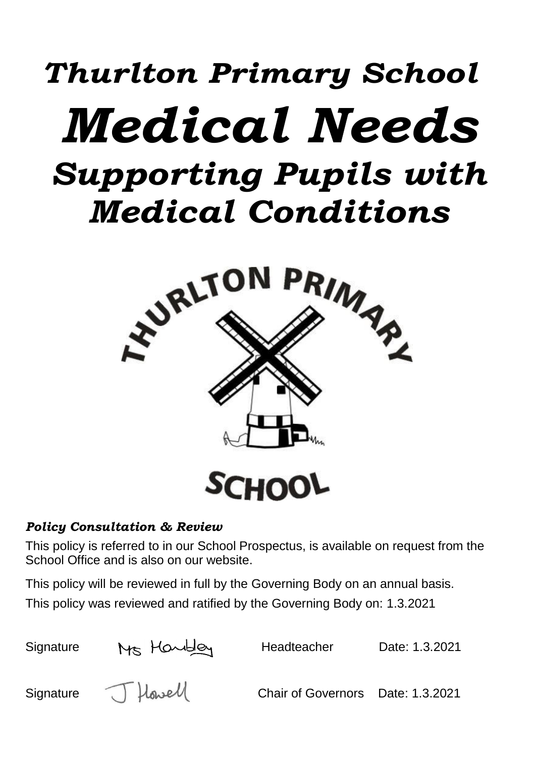# *Thurlton Primary School Medical Needs Supporting Pupils with Medical Conditions*



# *Policy Consultation & Review*

This policy is referred to in our School Prospectus, is available on request from the School Office and is also on our website.

This policy will be reviewed in full by the Governing Body on an annual basis.

This policy was reviewed and ratified by the Governing Body on: 1.3.2021

| Signature | Ms Handley | Headteacher                       | Date: 1.3.2021 |
|-----------|------------|-----------------------------------|----------------|
| Signature | J Howell   | Chair of Governors Date: 1.3.2021 |                |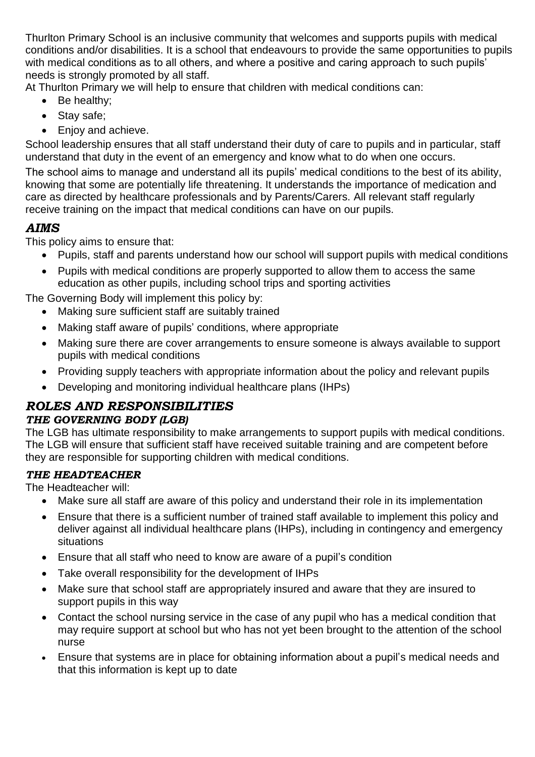Thurlton Primary School is an inclusive community that welcomes and supports pupils with medical conditions and/or disabilities. It is a school that endeavours to provide the same opportunities to pupils with medical conditions as to all others, and where a positive and caring approach to such pupils' needs is strongly promoted by all staff.

At Thurlton Primary we will help to ensure that children with medical conditions can:

- Be healthy;
- Stay safe;
- Enjoy and achieve.

School leadership ensures that all staff understand their duty of care to pupils and in particular, staff understand that duty in the event of an emergency and know what to do when one occurs.

The school aims to manage and understand all its pupils' medical conditions to the best of its ability, knowing that some are potentially life threatening. It understands the importance of medication and care as directed by healthcare professionals and by Parents/Carers. All relevant staff regularly receive training on the impact that medical conditions can have on our pupils.

# *AIMS*

This policy aims to ensure that:

- Pupils, staff and parents understand how our school will support pupils with medical conditions
- Pupils with medical conditions are properly supported to allow them to access the same education as other pupils, including school trips and sporting activities

The Governing Body will implement this policy by:

- Making sure sufficient staff are suitably trained
- Making staff aware of pupils' conditions, where appropriate
- Making sure there are cover arrangements to ensure someone is always available to support pupils with medical conditions
- Providing supply teachers with appropriate information about the policy and relevant pupils
- Developing and monitoring individual healthcare plans (IHPs)

# *ROLES AND RESPONSIBILITIES*

#### *THE GOVERNING BODY (LGB)*

The LGB has ultimate responsibility to make arrangements to support pupils with medical conditions. The LGB will ensure that sufficient staff have received suitable training and are competent before they are responsible for supporting children with medical conditions.

# *THE HEADTEACHER*

The Headteacher will:

- Make sure all staff are aware of this policy and understand their role in its implementation
- Ensure that there is a sufficient number of trained staff available to implement this policy and deliver against all individual healthcare plans (IHPs), including in contingency and emergency situations
- Ensure that all staff who need to know are aware of a pupil's condition
- Take overall responsibility for the development of IHPs
- Make sure that school staff are appropriately insured and aware that they are insured to support pupils in this way
- Contact the school nursing service in the case of any pupil who has a medical condition that may require support at school but who has not yet been brought to the attention of the school nurse
- Ensure that systems are in place for obtaining information about a pupil's medical needs and that this information is kept up to date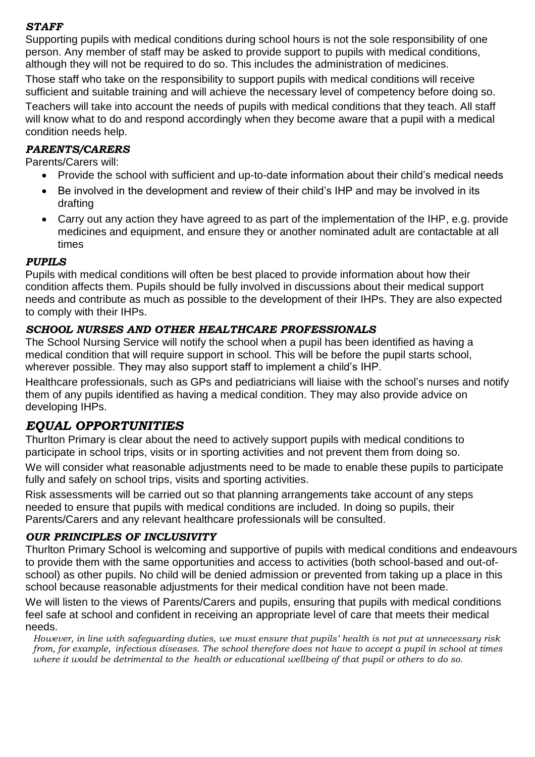#### *STAFF*

Supporting pupils with medical conditions during school hours is not the sole responsibility of one person. Any member of staff may be asked to provide support to pupils with medical conditions, although they will not be required to do so. This includes the administration of medicines.

Those staff who take on the responsibility to support pupils with medical conditions will receive sufficient and suitable training and will achieve the necessary level of competency before doing so. Teachers will take into account the needs of pupils with medical conditions that they teach. All staff will know what to do and respond accordingly when they become aware that a pupil with a medical condition needs help.

#### *PARENTS/CARERS*

Parents/Carers will:

- Provide the school with sufficient and up-to-date information about their child's medical needs
- Be involved in the development and review of their child's IHP and may be involved in its drafting
- Carry out any action they have agreed to as part of the implementation of the IHP, e.g. provide medicines and equipment, and ensure they or another nominated adult are contactable at all times

#### *PUPILS*

Pupils with medical conditions will often be best placed to provide information about how their condition affects them. Pupils should be fully involved in discussions about their medical support needs and contribute as much as possible to the development of their IHPs. They are also expected to comply with their IHPs.

#### *SCHOOL NURSES AND OTHER HEALTHCARE PROFESSIONALS*

The School Nursing Service will notify the school when a pupil has been identified as having a medical condition that will require support in school. This will be before the pupil starts school, wherever possible. They may also support staff to implement a child's IHP.

Healthcare professionals, such as GPs and pediatricians will liaise with the school's nurses and notify them of any pupils identified as having a medical condition. They may also provide advice on developing IHPs.

#### *EQUAL OPPORTUNITIES*

Thurlton Primary is clear about the need to actively support pupils with medical conditions to participate in school trips, visits or in sporting activities and not prevent them from doing so.

We will consider what reasonable adjustments need to be made to enable these pupils to participate fully and safely on school trips, visits and sporting activities.

Risk assessments will be carried out so that planning arrangements take account of any steps needed to ensure that pupils with medical conditions are included. In doing so pupils, their Parents/Carers and any relevant healthcare professionals will be consulted.

#### *OUR PRINCIPLES OF INCLUSIVITY*

Thurlton Primary School is welcoming and supportive of pupils with medical conditions and endeavours to provide them with the same opportunities and access to activities (both school-based and out-ofschool) as other pupils. No child will be denied admission or prevented from taking up a place in this school because reasonable adjustments for their medical condition have not been made.

We will listen to the views of Parents/Carers and pupils, ensuring that pupils with medical conditions feel safe at school and confident in receiving an appropriate level of care that meets their medical needs.

*However, in line with safeguarding duties, we must ensure that pupils' health is not put at unnecessary risk from, for example, infectious diseases. The school therefore does not have to accept a pupil in school at times where it would be detrimental to the health or educational wellbeing of that pupil or others to do so.*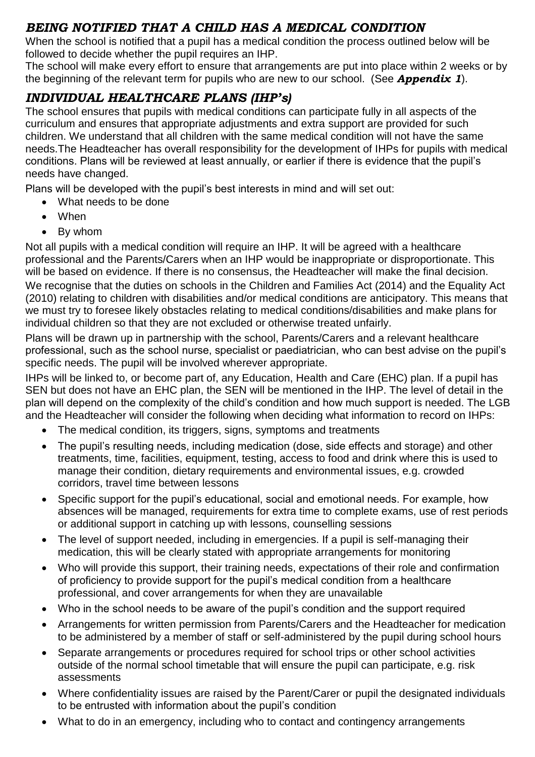# *BEING NOTIFIED THAT A CHILD HAS A MEDICAL CONDITION*

When the school is notified that a pupil has a medical condition the process outlined below will be followed to decide whether the pupil requires an IHP.

The school will make every effort to ensure that arrangements are put into place within 2 weeks or by the beginning of the relevant term for pupils who are new to our school. (See *Appendix 1*).

# *INDIVIDUAL HEALTHCARE PLANS (IHP's)*

The school ensures that pupils with medical conditions can participate fully in all aspects of the curriculum and ensures that appropriate adjustments and extra support are provided for such children. We understand that all children with the same medical condition will not have the same needs.The Headteacher has overall responsibility for the development of IHPs for pupils with medical conditions. Plans will be reviewed at least annually, or earlier if there is evidence that the pupil's needs have changed.

Plans will be developed with the pupil's best interests in mind and will set out:

- What needs to be done
- When
- By whom

Not all pupils with a medical condition will require an IHP. It will be agreed with a healthcare professional and the Parents/Carers when an IHP would be inappropriate or disproportionate. This will be based on evidence. If there is no consensus, the Headteacher will make the final decision. We recognise that the duties on schools in the Children and Families Act (2014) and the Equality Act (2010) relating to children with disabilities and/or medical conditions are anticipatory. This means that we must try to foresee likely obstacles relating to medical conditions/disabilities and make plans for individual children so that they are not excluded or otherwise treated unfairly.

Plans will be drawn up in partnership with the school, Parents/Carers and a relevant healthcare professional, such as the school nurse, specialist or paediatrician, who can best advise on the pupil's specific needs. The pupil will be involved wherever appropriate.

IHPs will be linked to, or become part of, any Education, Health and Care (EHC) plan. If a pupil has SEN but does not have an EHC plan, the SEN will be mentioned in the IHP. The level of detail in the plan will depend on the complexity of the child's condition and how much support is needed. The LGB and the Headteacher will consider the following when deciding what information to record on IHPs:

- The medical condition, its triggers, signs, symptoms and treatments
- The pupil's resulting needs, including medication (dose, side effects and storage) and other treatments, time, facilities, equipment, testing, access to food and drink where this is used to manage their condition, dietary requirements and environmental issues, e.g. crowded corridors, travel time between lessons
- Specific support for the pupil's educational, social and emotional needs. For example, how absences will be managed, requirements for extra time to complete exams, use of rest periods or additional support in catching up with lessons, counselling sessions
- The level of support needed, including in emergencies. If a pupil is self-managing their medication, this will be clearly stated with appropriate arrangements for monitoring
- Who will provide this support, their training needs, expectations of their role and confirmation of proficiency to provide support for the pupil's medical condition from a healthcare professional, and cover arrangements for when they are unavailable
- Who in the school needs to be aware of the pupil's condition and the support required
- Arrangements for written permission from Parents/Carers and the Headteacher for medication to be administered by a member of staff or self-administered by the pupil during school hours
- Separate arrangements or procedures required for school trips or other school activities outside of the normal school timetable that will ensure the pupil can participate, e.g. risk assessments
- Where confidentiality issues are raised by the Parent/Carer or pupil the designated individuals to be entrusted with information about the pupil's condition
- What to do in an emergency, including who to contact and contingency arrangements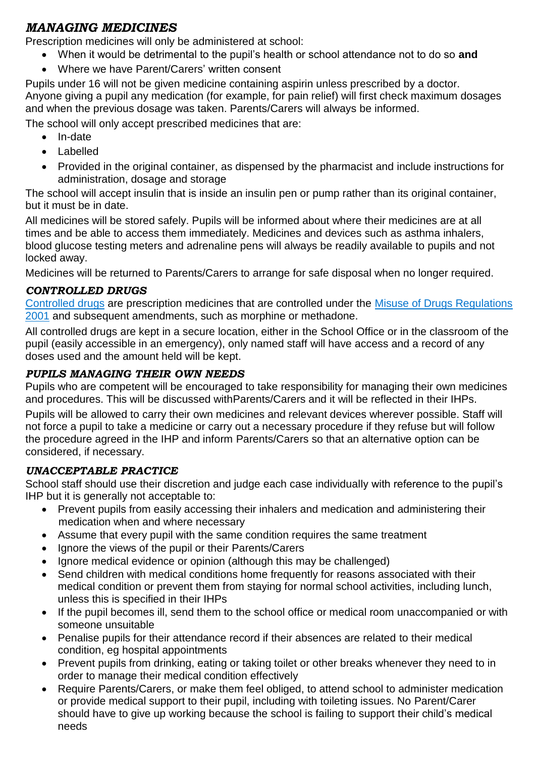# *MANAGING MEDICINES*

Prescription medicines will only be administered at school:

- When it would be detrimental to the pupil's health or school attendance not to do so **and**
- Where we have Parent/Carers' written consent

Pupils under 16 will not be given medicine containing aspirin unless prescribed by a doctor. Anyone giving a pupil any medication (for example, for pain relief) will first check maximum dosages and when the previous dosage was taken. Parents/Carers will always be informed.

The school will only accept prescribed medicines that are:

- In-date
- Labelled
- Provided in the original container, as dispensed by the pharmacist and include instructions for administration, dosage and storage

The school will accept insulin that is inside an insulin pen or pump rather than its original container, but it must be in date.

All medicines will be stored safely. Pupils will be informed about where their medicines are at all times and be able to access them immediately. Medicines and devices such as asthma inhalers, blood glucose testing meters and adrenaline pens will always be readily available to pupils and not locked away.

Medicines will be returned to Parents/Carers to arrange for safe disposal when no longer required.

#### *CONTROLLED DRUGS*

[Controlled drugs](http://www.nhs.uk/chq/Pages/1391.aspx?CategoryID=73) are prescription medicines that are controlled under the [Misuse of Drugs Regulations](http://www.legislation.gov.uk/uksi/2001/3998/schedule/1/made)  [2001](http://www.legislation.gov.uk/uksi/2001/3998/schedule/1/made) and subsequent amendments, such as morphine or methadone.

All controlled drugs are kept in a secure location, either in the School Office or in the classroom of the pupil (easily accessible in an emergency), only named staff will have access and a record of any doses used and the amount held will be kept.

#### *PUPILS MANAGING THEIR OWN NEEDS*

Pupils who are competent will be encouraged to take responsibility for managing their own medicines and procedures. This will be discussed withParents/Carers and it will be reflected in their IHPs.

Pupils will be allowed to carry their own medicines and relevant devices wherever possible. Staff will not force a pupil to take a medicine or carry out a necessary procedure if they refuse but will follow the procedure agreed in the IHP and inform Parents/Carers so that an alternative option can be considered, if necessary.

#### *UNACCEPTABLE PRACTICE*

School staff should use their discretion and judge each case individually with reference to the pupil's IHP but it is generally not acceptable to:

- Prevent pupils from easily accessing their inhalers and medication and administering their medication when and where necessary
- Assume that every pupil with the same condition requires the same treatment
- Ignore the views of the pupil or their Parents/Carers
- Ignore medical evidence or opinion (although this may be challenged)
- Send children with medical conditions home frequently for reasons associated with their medical condition or prevent them from staying for normal school activities, including lunch, unless this is specified in their IHPs
- If the pupil becomes ill, send them to the school office or medical room unaccompanied or with someone unsuitable
- Penalise pupils for their attendance record if their absences are related to their medical condition, eg hospital appointments
- Prevent pupils from drinking, eating or taking toilet or other breaks whenever they need to in order to manage their medical condition effectively
- Require Parents/Carers, or make them feel obliged, to attend school to administer medication or provide medical support to their pupil, including with toileting issues. No Parent/Carer should have to give up working because the school is failing to support their child's medical needs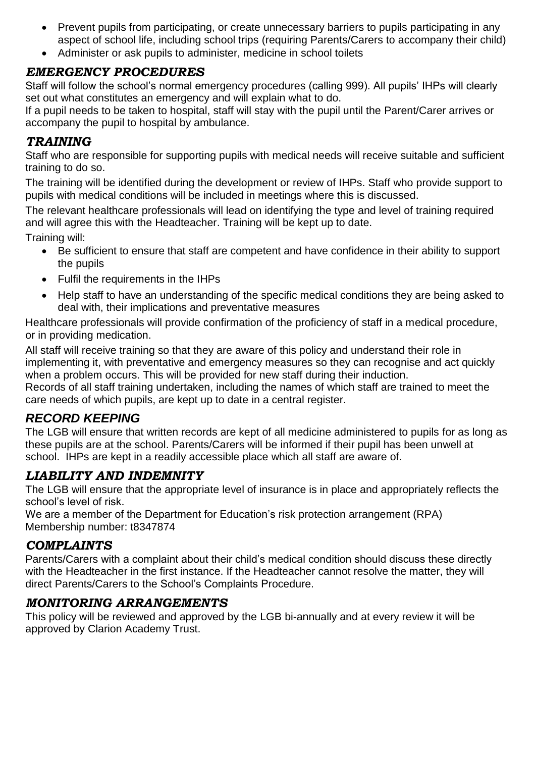- Prevent pupils from participating, or create unnecessary barriers to pupils participating in any aspect of school life, including school trips (requiring Parents/Carers to accompany their child)
- Administer or ask pupils to administer, medicine in school toilets

# *EMERGENCY PROCEDURES*

Staff will follow the school's normal emergency procedures (calling 999). All pupils' IHPs will clearly set out what constitutes an emergency and will explain what to do.

If a pupil needs to be taken to hospital, staff will stay with the pupil until the Parent/Carer arrives or accompany the pupil to hospital by ambulance.

### *TRAINING*

Staff who are responsible for supporting pupils with medical needs will receive suitable and sufficient training to do so.

The training will be identified during the development or review of IHPs. Staff who provide support to pupils with medical conditions will be included in meetings where this is discussed.

The relevant healthcare professionals will lead on identifying the type and level of training required and will agree this with the Headteacher. Training will be kept up to date.

Training will:

- Be sufficient to ensure that staff are competent and have confidence in their ability to support the pupils
- Fulfil the requirements in the IHPs
- Help staff to have an understanding of the specific medical conditions they are being asked to deal with, their implications and preventative measures

Healthcare professionals will provide confirmation of the proficiency of staff in a medical procedure, or in providing medication.

All staff will receive training so that they are aware of this policy and understand their role in implementing it, with preventative and emergency measures so they can recognise and act quickly when a problem occurs. This will be provided for new staff during their induction.

Records of all staff training undertaken, including the names of which staff are trained to meet the care needs of which pupils, are kept up to date in a central register.

# *RECORD KEEPING*

The LGB will ensure that written records are kept of all medicine administered to pupils for as long as these pupils are at the school. Parents/Carers will be informed if their pupil has been unwell at school. IHPs are kept in a readily accessible place which all staff are aware of.

# *LIABILITY AND INDEMNITY*

The LGB will ensure that the appropriate level of insurance is in place and appropriately reflects the school's level of risk.

We are a member of the Department for Education's risk protection arrangement (RPA) Membership number: t8347874

# *COMPLAINTS*

Parents/Carers with a complaint about their child's medical condition should discuss these directly with the Headteacher in the first instance. If the Headteacher cannot resolve the matter, they will direct Parents/Carers to the School's Complaints Procedure.

# *MONITORING ARRANGEMENTS*

This policy will be reviewed and approved by the LGB bi-annually and at every review it will be approved by Clarion Academy Trust.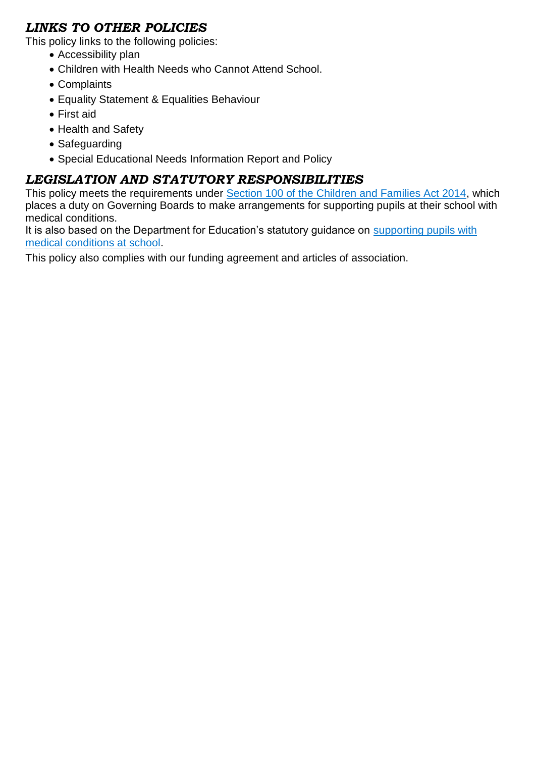# *LINKS TO OTHER POLICIES*

This policy links to the following policies:

- Accessibility plan
- Children with Health Needs who Cannot Attend School.
- Complaints
- Equality Statement & Equalities Behaviour
- First aid
- Health and Safety
- Safeguarding
- Special Educational Needs Information Report and Policy

# *LEGISLATION AND STATUTORY RESPONSIBILITIES*

This policy meets the requirements under [Section 100 of the Children and Families Act 2014,](http://www.legislation.gov.uk/ukpga/2014/6/part/5/crossheading/pupils-with-medical-conditions) which places a duty on Governing Boards to make arrangements for supporting pupils at their school with medical conditions.

It is also based on the Department for Education's statutory guidance on supporting pupils with [medical conditions at school.](https://www.gov.uk/government/publications/supporting-pupils-at-school-with-medical-conditions--3)

This policy also complies with our funding agreement and articles of association.